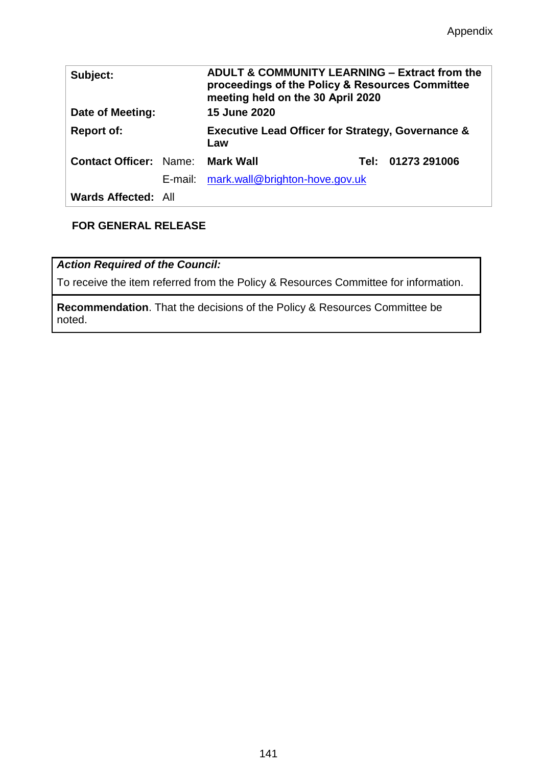| Subject:<br>Date of Meeting:  |  | <b>ADULT &amp; COMMUNITY LEARNING – Extract from the</b><br>proceedings of the Policy & Resources Committee<br>meeting held on the 30 April 2020<br><b>15 June 2020</b> |  |                   |
|-------------------------------|--|-------------------------------------------------------------------------------------------------------------------------------------------------------------------------|--|-------------------|
| <b>Report of:</b>             |  | <b>Executive Lead Officer for Strategy, Governance &amp;</b><br>Law                                                                                                     |  |                   |
| <b>Contact Officer: Name:</b> |  | <b>Mark Wall</b>                                                                                                                                                        |  | Tel: 01273 291006 |
|                               |  | E-mail: mark.wall@brighton-hove.gov.uk                                                                                                                                  |  |                   |
| <b>Wards Affected: All</b>    |  |                                                                                                                                                                         |  |                   |

# **FOR GENERAL RELEASE**

*Action Required of the Council:*

To receive the item referred from the Policy & Resources Committee for information.

**Recommendation**. That the decisions of the Policy & Resources Committee be noted.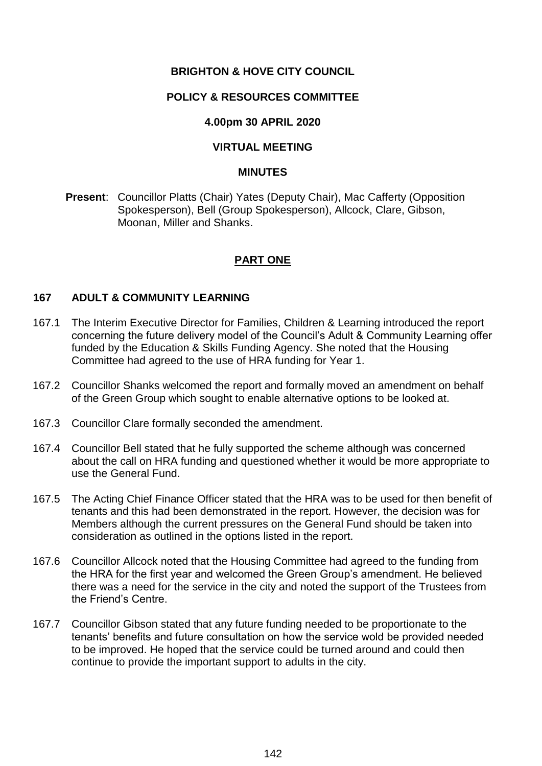## **BRIGHTON & HOVE CITY COUNCIL**

### **POLICY & RESOURCES COMMITTEE**

### **4.00pm 30 APRIL 2020**

### **VIRTUAL MEETING**

#### **MINUTES**

**Present**: Councillor Platts (Chair) Yates (Deputy Chair), Mac Cafferty (Opposition Spokesperson), Bell (Group Spokesperson), Allcock, Clare, Gibson, Moonan, Miller and Shanks.

### **PART ONE**

#### **167 ADULT & COMMUNITY LEARNING**

- 167.1 The Interim Executive Director for Families, Children & Learning introduced the report concerning the future delivery model of the Council's Adult & Community Learning offer funded by the Education & Skills Funding Agency. She noted that the Housing Committee had agreed to the use of HRA funding for Year 1.
- 167.2 Councillor Shanks welcomed the report and formally moved an amendment on behalf of the Green Group which sought to enable alternative options to be looked at.
- 167.3 Councillor Clare formally seconded the amendment.
- 167.4 Councillor Bell stated that he fully supported the scheme although was concerned about the call on HRA funding and questioned whether it would be more appropriate to use the General Fund.
- 167.5 The Acting Chief Finance Officer stated that the HRA was to be used for then benefit of tenants and this had been demonstrated in the report. However, the decision was for Members although the current pressures on the General Fund should be taken into consideration as outlined in the options listed in the report.
- 167.6 Councillor Allcock noted that the Housing Committee had agreed to the funding from the HRA for the first year and welcomed the Green Group's amendment. He believed there was a need for the service in the city and noted the support of the Trustees from the Friend's Centre.
- 167.7 Councillor Gibson stated that any future funding needed to be proportionate to the tenants' benefits and future consultation on how the service wold be provided needed to be improved. He hoped that the service could be turned around and could then continue to provide the important support to adults in the city.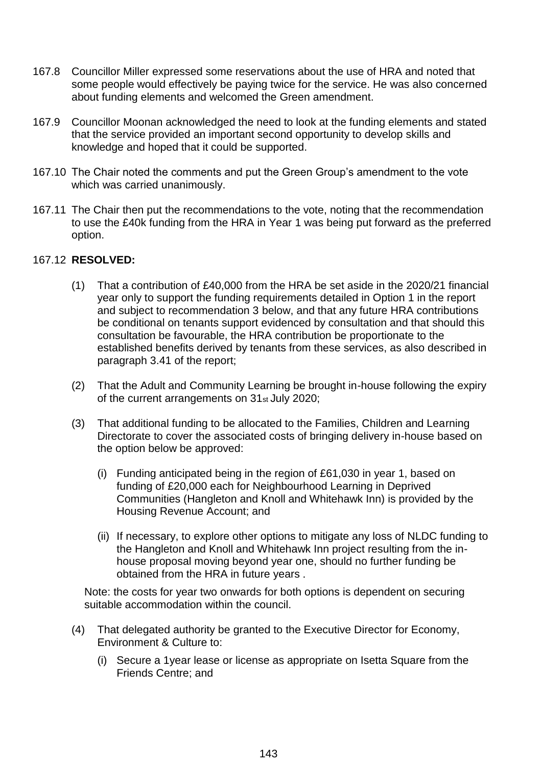- 167.8 Councillor Miller expressed some reservations about the use of HRA and noted that some people would effectively be paying twice for the service. He was also concerned about funding elements and welcomed the Green amendment.
- 167.9 Councillor Moonan acknowledged the need to look at the funding elements and stated that the service provided an important second opportunity to develop skills and knowledge and hoped that it could be supported.
- 167.10 The Chair noted the comments and put the Green Group's amendment to the vote which was carried unanimously.
- 167.11 The Chair then put the recommendations to the vote, noting that the recommendation to use the £40k funding from the HRA in Year 1 was being put forward as the preferred option.

### 167.12 **RESOLVED:**

- (1) That a contribution of £40,000 from the HRA be set aside in the 2020/21 financial year only to support the funding requirements detailed in Option 1 in the report and subject to recommendation 3 below, and that any future HRA contributions be conditional on tenants support evidenced by consultation and that should this consultation be favourable, the HRA contribution be proportionate to the established benefits derived by tenants from these services, as also described in paragraph 3.41 of the report;
- (2) That the Adult and Community Learning be brought in-house following the expiry of the current arrangements on 31st July 2020;
- (3) That additional funding to be allocated to the Families, Children and Learning Directorate to cover the associated costs of bringing delivery in-house based on the option below be approved:
	- (i) Funding anticipated being in the region of £61,030 in year 1, based on funding of £20,000 each for Neighbourhood Learning in Deprived Communities (Hangleton and Knoll and Whitehawk Inn) is provided by the Housing Revenue Account; and
	- (ii) If necessary, to explore other options to mitigate any loss of NLDC funding to the Hangleton and Knoll and Whitehawk Inn project resulting from the inhouse proposal moving beyond year one, should no further funding be obtained from the HRA in future years .

Note: the costs for year two onwards for both options is dependent on securing suitable accommodation within the council.

- (4) That delegated authority be granted to the Executive Director for Economy, Environment & Culture to:
	- (i) Secure a 1year lease or license as appropriate on Isetta Square from the Friends Centre; and